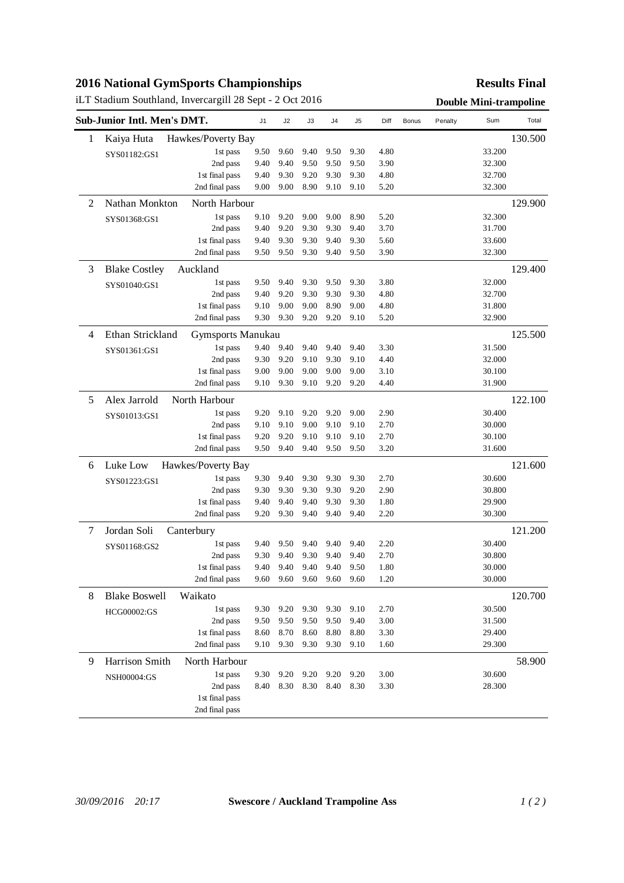## **2016 National GymSports Championships**

# iLT Stadium Southland, Invercargill 28 Sept - 2 Oct 2016 **Double Mini-trampoline**

### **Results Final**

| Sub-Junior Intl. Men's DMT. |                      |                    | J1   | J2   | J3   | J4   | J <sub>5</sub> | Diff | <b>Bonus</b> | Penalty | Sum    | Total   |
|-----------------------------|----------------------|--------------------|------|------|------|------|----------------|------|--------------|---------|--------|---------|
| 1                           | Kaiya Huta           | Hawkes/Poverty Bay |      |      |      |      |                |      |              |         |        | 130.500 |
|                             | SYS01182:GS1         | 1st pass           | 9.50 | 9.60 | 9.40 | 9.50 | 9.30           | 4.80 |              |         | 33.200 |         |
|                             |                      | 2nd pass           | 9.40 | 9.40 | 9.50 | 9.50 | 9.50           | 3.90 |              |         | 32.300 |         |
|                             |                      | 1st final pass     | 9.40 | 9.30 | 9.20 | 9.30 | 9.30           | 4.80 |              |         | 32.700 |         |
|                             |                      | 2nd final pass     | 9.00 | 9.00 | 8.90 | 9.10 | 9.10           | 5.20 |              |         | 32.300 |         |
| $\overline{c}$              | Nathan Monkton       | North Harbour      |      |      |      |      |                |      |              |         |        | 129.900 |
|                             | SYS01368:GS1         | 1st pass           | 9.10 | 9.20 | 9.00 | 9.00 | 8.90           | 5.20 |              |         | 32.300 |         |
|                             |                      | 2nd pass           | 9.40 | 9.20 | 9.30 | 9.30 | 9.40           | 3.70 |              |         | 31.700 |         |
|                             |                      | 1st final pass     | 9.40 | 9.30 | 9.30 | 9.40 | 9.30           | 5.60 |              |         | 33.600 |         |
|                             |                      | 2nd final pass     | 9.50 | 9.50 | 9.30 | 9.40 | 9.50           | 3.90 |              |         | 32.300 |         |
| 3                           | <b>Blake Costley</b> | Auckland           |      |      |      |      |                |      |              |         |        | 129.400 |
|                             | SYS01040:GS1         | 1st pass           | 9.50 | 9.40 | 9.30 | 9.50 | 9.30           | 3.80 |              |         | 32.000 |         |
|                             |                      | 2nd pass           | 9.40 | 9.20 | 9.30 | 9.30 | 9.30           | 4.80 |              |         | 32.700 |         |
|                             |                      | 1st final pass     | 9.10 | 9.00 | 9.00 | 8.90 | 9.00           | 4.80 |              |         | 31.800 |         |
|                             |                      | 2nd final pass     | 9.30 | 9.30 | 9.20 | 9.20 | 9.10           | 5.20 |              |         | 32.900 |         |
| 4                           | Ethan Strickland     | Gymsports Manukau  |      |      |      |      |                |      |              |         |        | 125.500 |
|                             | SYS01361:GS1         | 1st pass           | 9.40 | 9.40 | 9.40 | 9.40 | 9.40           | 3.30 |              |         | 31.500 |         |
|                             |                      | 2nd pass           | 9.30 | 9.20 | 9.10 | 9.30 | 9.10           | 4.40 |              |         | 32.000 |         |
|                             |                      | 1st final pass     | 9.00 | 9.00 | 9.00 | 9.00 | 9.00           | 3.10 |              |         | 30.100 |         |
|                             |                      | 2nd final pass     | 9.10 | 9.30 | 9.10 | 9.20 | 9.20           | 4.40 |              |         | 31.900 |         |
| 5                           | Alex Jarrold         | North Harbour      |      |      |      |      |                |      |              |         |        | 122.100 |
|                             | SYS01013:GS1         | 1st pass           | 9.20 | 9.10 | 9.20 | 9.20 | 9.00           | 2.90 |              |         | 30.400 |         |
|                             |                      | 2nd pass           | 9.10 | 9.10 | 9.00 | 9.10 | 9.10           | 2.70 |              |         | 30.000 |         |
|                             |                      | 1st final pass     | 9.20 | 9.20 | 9.10 | 9.10 | 9.10           | 2.70 |              |         | 30.100 |         |
|                             |                      | 2nd final pass     | 9.50 | 9.40 | 9.40 | 9.50 | 9.50           | 3.20 |              |         | 31.600 |         |
| 6                           | Luke Low             | Hawkes/Poverty Bay |      |      |      |      |                |      |              |         |        | 121.600 |
|                             | SYS01223:GS1         | 1st pass           | 9.30 | 9.40 | 9.30 | 9.30 | 9.30           | 2.70 |              |         | 30.600 |         |
|                             |                      | 2nd pass           | 9.30 | 9.30 | 9.30 | 9.30 | 9.20           | 2.90 |              |         | 30.800 |         |
|                             |                      | 1st final pass     | 9.40 | 9.40 | 9.40 | 9.30 | 9.30           | 1.80 |              |         | 29.900 |         |
|                             |                      | 2nd final pass     | 9.20 | 9.30 | 9.40 | 9.40 | 9.40           | 2.20 |              |         | 30.300 |         |
| 7                           | Jordan Soli          | Canterbury         |      |      |      |      |                |      |              |         |        | 121.200 |
|                             | SYS01168:GS2         | 1st pass           | 9.40 | 9.50 | 9.40 | 9.40 | 9.40           | 2.20 |              |         | 30.400 |         |
|                             |                      | 2nd pass           | 9.30 | 9.40 | 9.30 | 9.40 | 9.40           | 2.70 |              |         | 30.800 |         |
|                             |                      | 1 st final pass    | 9.40 | 9.40 | 9.40 | 9.40 | 9.50           | 1.80 |              |         | 30.000 |         |
|                             |                      | 2nd final pass     | 9.60 | 9.60 | 9.60 | 9.60 | 9.60           | 1.20 |              |         | 30.000 |         |
| 8                           | <b>Blake Boswell</b> | Waikato            |      |      |      |      |                |      |              |         |        | 120.700 |
|                             | HCG00002:GS          | 1st pass           | 9.30 | 9.20 | 9.30 | 9.30 | 9.10           | 2.70 |              |         | 30.500 |         |
|                             |                      | 2nd pass           | 9.50 | 9.50 | 9.50 | 9.50 | 9.40           | 3.00 |              |         | 31.500 |         |
|                             |                      | 1st final pass     | 8.60 | 8.70 | 8.60 | 8.80 | 8.80           | 3.30 |              |         | 29.400 |         |
|                             |                      | 2nd final pass     | 9.10 | 9.30 | 9.30 | 9.30 | 9.10           | 1.60 |              |         | 29.300 |         |
| 9                           | Harrison Smith       | North Harbour      |      |      |      |      |                |      |              |         |        | 58.900  |
|                             | NSH00004:GS          | 1st pass           | 9.30 | 9.20 | 9.20 | 9.20 | 9.20           | 3.00 |              |         | 30.600 |         |
|                             |                      | 2nd pass           | 8.40 | 8.30 | 8.30 | 8.40 | 8.30           | 3.30 |              |         | 28.300 |         |
|                             |                      | 1st final pass     |      |      |      |      |                |      |              |         |        |         |
|                             |                      | 2nd final pass     |      |      |      |      |                |      |              |         |        |         |